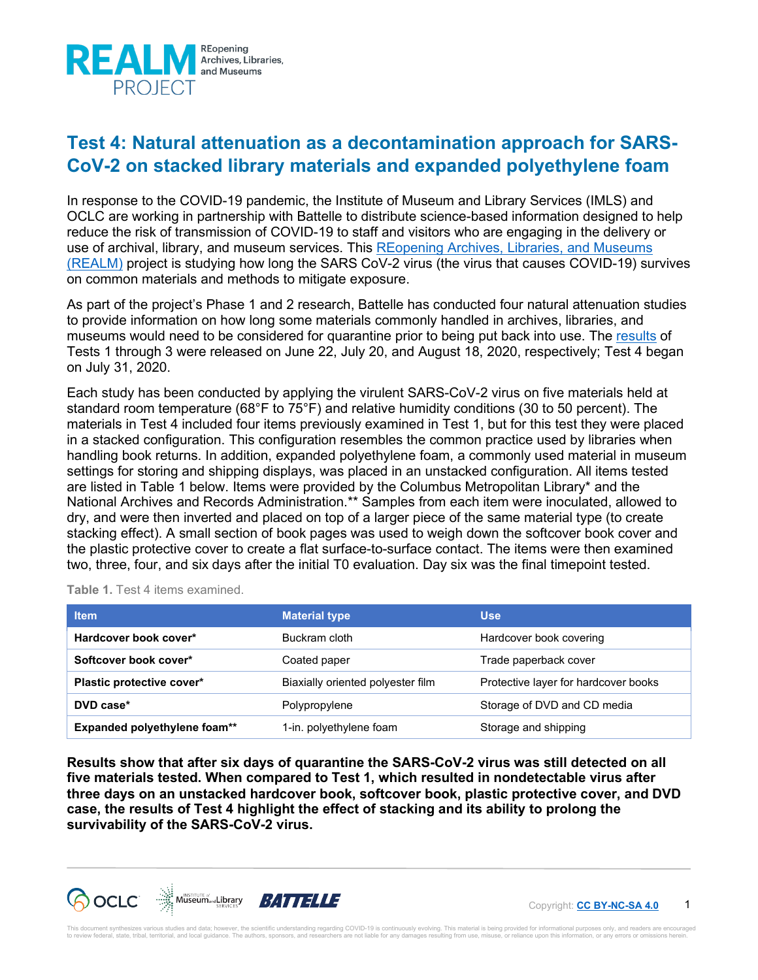

## **Test 4: Natural attenuation as a decontamination approach for SARS-CoV-2 on stacked library materials and expanded polyethylene foam**

In response to the COVID-19 pandemic, the Institute of Museum and Library Services (IMLS) and OCLC are working in partnership with Battelle to distribute science-based information designed to help reduce the risk of transmission of COVID-19 to staff and visitors who are engaging in the delivery or use of archival, library, and museum services. This [REopening Archives, Libraries, and Museums](https://oc.lc/realm-project)  [\(REALM\)](https://oc.lc/realm-project) project is studying how long the SARS CoV-2 virus (the virus that causes COVID-19) survives on common materials and methods to mitigate exposure.

As part of the project's Phase 1 and 2 research, Battelle has conducted four natural attenuation studies to provide information on how long some materials commonly handled in archives, libraries, and museums would need to be considered for quarantine prior to being put back into use. The [results](https://www.webjunction.org/explore-topics/COVID-19-research-project/resources.html#results) of Tests 1 through 3 were released on June 22, July 20, and August 18, 2020, respectively; Test 4 began on July 31, 2020.

Each study has been conducted by applying the virulent SARS-CoV-2 virus on five materials held at standard room temperature (68°F to 75°F) and relative humidity conditions (30 to 50 percent). The materials in Test 4 included four items previously examined in Test 1, but for this test they were placed in a stacked configuration. This configuration resembles the common practice used by libraries when handling book returns. In addition, expanded polyethylene foam, a commonly used material in museum settings for storing and shipping displays, was placed in an unstacked configuration. All items tested are listed in Table 1 below. Items were provided by the Columbus Metropolitan Library\* and the National Archives and Records Administration.\*\* Samples from each item were inoculated, allowed to dry, and were then inverted and placed on top of a larger piece of the same material type (to create stacking effect). A small section of book pages was used to weigh down the softcover book cover and the plastic protective cover to create a flat surface-to-surface contact. The items were then examined two, three, four, and six days after the initial T0 evaluation. Day six was the final timepoint tested.

**Table 1.** Test 4 items examined.

| <b>Item</b>                         | <b>Material type</b>                         | <b>Use</b>                           |  |  |
|-------------------------------------|----------------------------------------------|--------------------------------------|--|--|
| Hardcover book cover*               | Buckram cloth                                | Hardcover book covering              |  |  |
| Softcover book cover*               | Coated paper                                 | Trade paperback cover                |  |  |
| Plastic protective cover*           | Biaxially oriented polyester film            | Protective layer for hardcover books |  |  |
| DVD case*                           | Storage of DVD and CD media<br>Polypropylene |                                      |  |  |
| <b>Expanded polyethylene foam**</b> | 1-in. polyethylene foam                      | Storage and shipping                 |  |  |

**Results show that after six days of quarantine the SARS-CoV-2 virus was still detected on all five materials tested. When compared to Test 1, which resulted in nondetectable virus after three days on an unstacked hardcover book, softcover book, plastic protective cover, and DVD case, the results of Test 4 highlight the effect of stacking and its ability to prolong the survivability of the SARS-CoV-2 virus.**



1 Copyright: **[CC BY-NC-SA 4.0](https://creativecommons.org/licenses/by-nc-sa/4.0/)**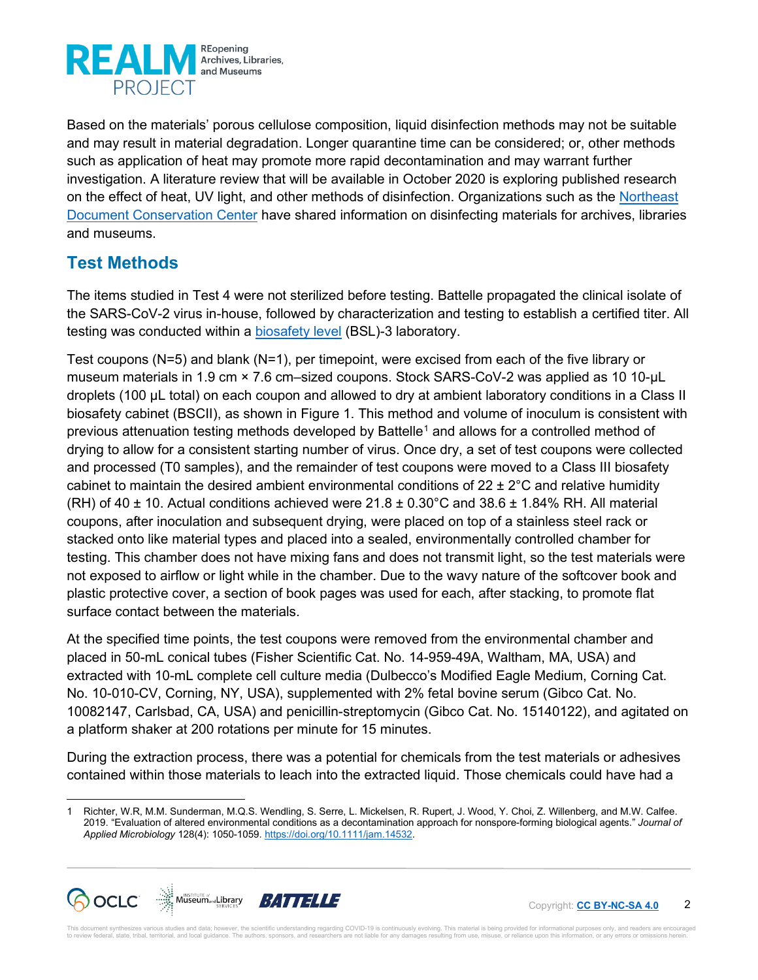

Based on the materials' porous cellulose composition, liquid disinfection methods may not be suitable and may result in material degradation. Longer quarantine time can be considered; or, other methods such as application of heat may promote more rapid decontamination and may warrant further investigation. A literature review that will be available in October 2020 is exploring published research on the effect of heat, UV light, and other methods of disinfection. Organizations such as the Northeast [Document Conservation Center](https://www.nedcc.org/free-resources/preservation-leaflets/3.-emergency-management/3.5-disinfecting-books) have shared information on disinfecting materials for archives, libraries and museums.

## **Test Methods**

The items studied in Test 4 were not sterilized before testing. Battelle propagated the clinical isolate of the SARS-CoV-2 virus in-house, followed by characterization and testing to establish a certified titer. All testing was conducted within a [biosafety level](https://en.wikipedia.org/wiki/Biosafety_level) (BSL)-3 laboratory.

Test coupons (N=5) and blank (N=1), per timepoint, were excised from each of the five library or museum materials in 1.9 cm × 7.6 cm–sized coupons. Stock SARS-CoV-2 was applied as 10 10-µL droplets (100 µL total) on each coupon and allowed to dry at ambient laboratory conditions in a Class II biosafety cabinet (BSCII), as shown in Figure 1. This method and volume of inoculum is consistent with previous attenuation testing methods developed by Battelle[1](#page-1-0) and allows for a controlled method of drying to allow for a consistent starting number of virus. Once dry, a set of test coupons were collected and processed (T0 samples), and the remainder of test coupons were moved to a Class III biosafety cabinet to maintain the desired ambient environmental conditions of  $22 \pm 2^{\circ}$ C and relative humidity (RH) of 40  $\pm$  10. Actual conditions achieved were 21.8  $\pm$  0.30°C and 38.6  $\pm$  1.84% RH. All material coupons, after inoculation and subsequent drying, were placed on top of a stainless steel rack or stacked onto like material types and placed into a sealed, environmentally controlled chamber for testing. This chamber does not have mixing fans and does not transmit light, so the test materials were not exposed to airflow or light while in the chamber. Due to the wavy nature of the softcover book and plastic protective cover, a section of book pages was used for each, after stacking, to promote flat surface contact between the materials.

At the specified time points, the test coupons were removed from the environmental chamber and placed in 50-mL conical tubes (Fisher Scientific Cat. No. 14-959-49A, Waltham, MA, USA) and extracted with 10-mL complete cell culture media (Dulbecco's Modified Eagle Medium, Corning Cat. No. 10-010-CV, Corning, NY, USA), supplemented with 2% fetal bovine serum (Gibco Cat. No. 10082147, Carlsbad, CA, USA) and penicillin-streptomycin (Gibco Cat. No. 15140122), and agitated on a platform shaker at 200 rotations per minute for 15 minutes.

During the extraction process, there was a potential for chemicals from the test materials or adhesives contained within those materials to leach into the extracted liquid. Those chemicals could have had a

<span id="page-1-0"></span><sup>1</sup> Richter, W.R, M.M. Sunderman, M.Q.S. Wendling, S. Serre, L. Mickelsen, R. Rupert, J. Wood, Y. Choi, Z. Willenberg, and M.W. Calfee. 2019. "Evaluation of altered environmental conditions as a decontamination approach for nonspore-forming biological agents." *Journal of Applied Microbiology* 128(4): 1050-1059. [https://doi.org/10.1111/jam.14532.](https://doi.org/10.1111/jam.14532)



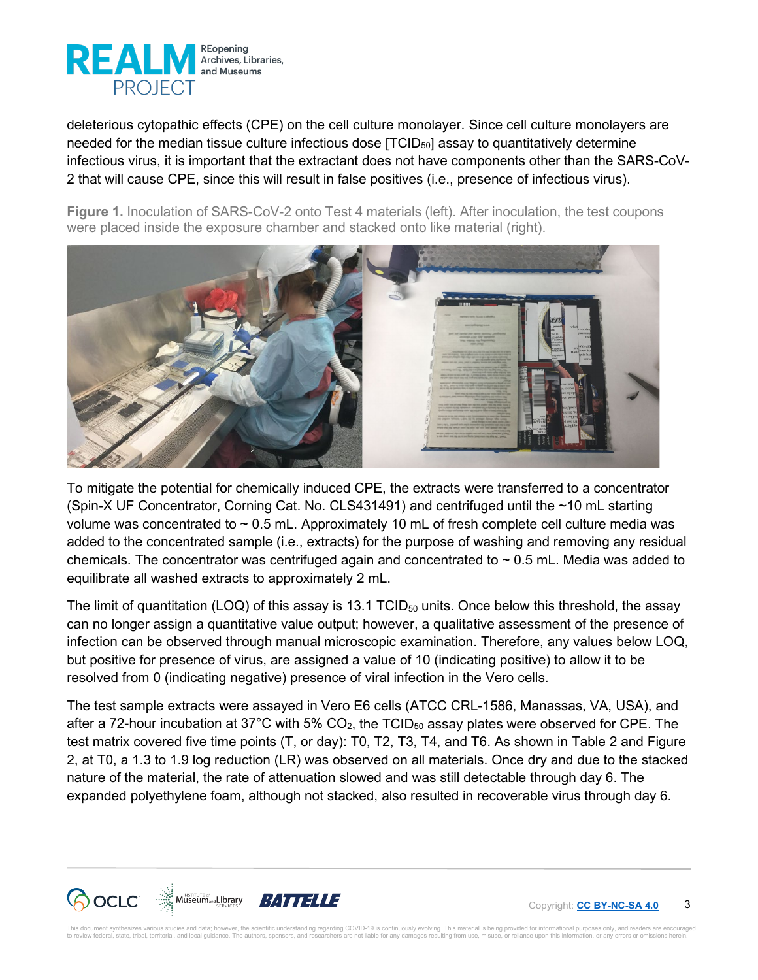

deleterious cytopathic effects (CPE) on the cell culture monolayer. Since cell culture monolayers are needed for the median tissue culture infectious dose  $[TCID<sub>50</sub>]$  assay to quantitatively determine infectious virus, it is important that the extractant does not have components other than the SARS-CoV-2 that will cause CPE, since this will result in false positives (i.e., presence of infectious virus).

**Figure 1.** Inoculation of SARS-CoV-2 onto Test 4 materials (left). After inoculation, the test coupons were placed inside the exposure chamber and stacked onto like material (right).



To mitigate the potential for chemically induced CPE, the extracts were transferred to a concentrator (Spin-X UF Concentrator, Corning Cat. No. CLS431491) and centrifuged until the ~10 mL starting volume was concentrated to ~ 0.5 mL. Approximately 10 mL of fresh complete cell culture media was added to the concentrated sample (i.e., extracts) for the purpose of washing and removing any residual chemicals. The concentrator was centrifuged again and concentrated to  $\sim$  0.5 mL. Media was added to equilibrate all washed extracts to approximately 2 mL.

The limit of quantitation (LOQ) of this assay is 13.1 TCID $_{50}$  units. Once below this threshold, the assay can no longer assign a quantitative value output; however, a qualitative assessment of the presence of infection can be observed through manual microscopic examination. Therefore, any values below LOQ, but positive for presence of virus, are assigned a value of 10 (indicating positive) to allow it to be resolved from 0 (indicating negative) presence of viral infection in the Vero cells.

The test sample extracts were assayed in Vero E6 cells (ATCC CRL-1586, Manassas, VA, USA), and after a 72-hour incubation at 37°C with 5%  $CO<sub>2</sub>$ , the TCID<sub>50</sub> assay plates were observed for CPE. The test matrix covered five time points (T, or day): T0, T2, T3, T4, and T6. As shown in Table 2 and Figure 2, at T0, a 1.3 to 1.9 log reduction (LR) was observed on all materials. Once dry and due to the stacked nature of the material, the rate of attenuation slowed and was still detectable through day 6. The expanded polyethylene foam, although not stacked, also resulted in recoverable virus through day 6.



3 Copyright: **[CC BY-NC-SA 4.0](https://creativecommons.org/licenses/by-nc-sa/4.0/)**

nt synthesizes various studies and data; however, the scientific understanding regarding COVID-19 is continuously evolving. This material is being provided for informational purposes only, and readers are encouraged to review federal, state, tribal, territorial, and local guidance. The authors, sponsors, and researchers are not liable for any damages resulting from use, misuse, or reliance upon this information, or any errors or omiss